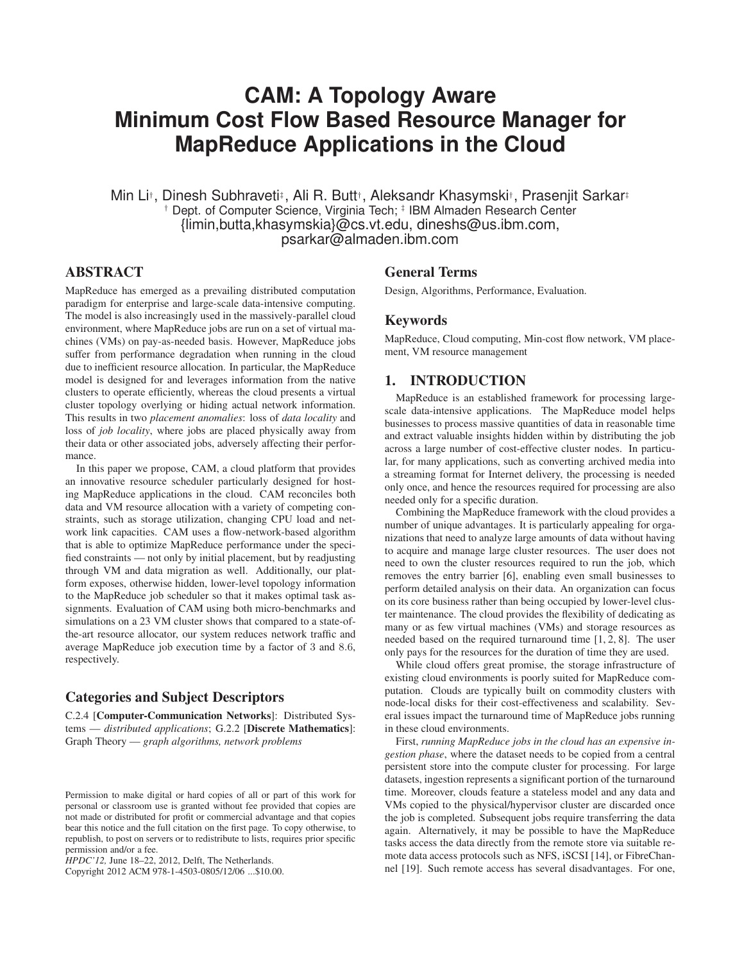# **CAM: A Topology Aware Minimum Cost Flow Based Resource Manager for MapReduce Applications in the Cloud**

Min Li<sup>†</sup>, Dinesh Subhraveti‡, Ali R. Butt‡, Aleksandr Khasymski‡, Prasenjit Sarkar‡ <sup>†</sup> Dept. of Computer Science, Virginia Tech; <sup>‡</sup> IBM Almaden Research Center {limin,butta,khasymskia}@cs.vt.edu, dineshs@us.ibm.com, psarkar@almaden.ibm.com

## **ABSTRACT**

MapReduce has emerged as a prevailing distributed computation paradigm for enterprise and large-scale data-intensive computing. The model is also increasingly used in the massively-parallel cloud environment, where MapReduce jobs are run on a set of virtual machines (VMs) on pay-as-needed basis. However, MapReduce jobs suffer from performance degradation when running in the cloud due to inefficient resource allocation. In particular, the MapReduce model is designed for and leverages information from the native clusters to operate efficiently, whereas the cloud presents a virtual cluster topology overlying or hiding actual network information. This results in two *placement anomalies*: loss of *data locality* and loss of *job locality*, where jobs are placed physically away from their data or other associated jobs, adversely affecting their performance.

In this paper we propose, CAM, a cloud platform that provides an innovative resource scheduler particularly designed for hosting MapReduce applications in the cloud. CAM reconciles both data and VM resource allocation with a variety of competing constraints, such as storage utilization, changing CPU load and network link capacities. CAM uses a flow-network-based algorithm that is able to optimize MapReduce performance under the specified constraints — not only by initial placement, but by readjusting through VM and data migration as well. Additionally, our platform exposes, otherwise hidden, lower-level topology information to the MapReduce job scheduler so that it makes optimal task assignments. Evaluation of CAM using both micro-benchmarks and simulations on a 23 VM cluster shows that compared to a state-ofthe-art resource allocator, our system reduces network traffic and average MapReduce job execution time by a factor of 3 and 8.6, respectively.

### **Categories and Subject Descriptors**

C.2.4 [**Computer-Communication Networks**]: Distributed Systems — *distributed applications*; G.2.2 [**Discrete Mathematics**]: Graph Theory — *graph algorithms, network problems*

Copyright 2012 ACM 978-1-4503-0805/12/06 ...\$10.00.

#### **General Terms**

Design, Algorithms, Performance, Evaluation.

## **Keywords**

MapReduce, Cloud computing, Min-cost flow network, VM placement, VM resource management

## **1. INTRODUCTION**

MapReduce is an established framework for processing largescale data-intensive applications. The MapReduce model helps businesses to process massive quantities of data in reasonable time and extract valuable insights hidden within by distributing the job across a large number of cost-effective cluster nodes. In particular, for many applications, such as converting archived media into a streaming format for Internet delivery, the processing is needed only once, and hence the resources required for processing are also needed only for a specific duration.

Combining the MapReduce framework with the cloud provides a number of unique advantages. It is particularly appealing for organizations that need to analyze large amounts of data without having to acquire and manage large cluster resources. The user does not need to own the cluster resources required to run the job, which removes the entry barrier [6], enabling even small businesses to perform detailed analysis on their data. An organization can focus on its core business rather than being occupied by lower-level cluster maintenance. The cloud provides the flexibility of dedicating as many or as few virtual machines (VMs) and storage resources as needed based on the required turnaround time [1, 2, 8]. The user only pays for the resources for the duration of time they are used.

While cloud offers great promise, the storage infrastructure of existing cloud environments is poorly suited for MapReduce computation. Clouds are typically built on commodity clusters with node-local disks for their cost-effectiveness and scalability. Several issues impact the turnaround time of MapReduce jobs running in these cloud environments.

First, *running MapReduce jobs in the cloud has an expensive ingestion phase*, where the dataset needs to be copied from a central persistent store into the compute cluster for processing. For large datasets, ingestion represents a significant portion of the turnaround time. Moreover, clouds feature a stateless model and any data and VMs copied to the physical/hypervisor cluster are discarded once the job is completed. Subsequent jobs require transferring the data again. Alternatively, it may be possible to have the MapReduce tasks access the data directly from the remote store via suitable remote data access protocols such as NFS, iSCSI [14], or FibreChannel [19]. Such remote access has several disadvantages. For one,

Permission to make digital or hard copies of all or part of this work for personal or classroom use is granted without fee provided that copies are not made or distributed for profit or commercial advantage and that copies bear this notice and the full citation on the first page. To copy otherwise, to republish, to post on servers or to redistribute to lists, requires prior specific permission and/or a fee.

*HPDC'12,* June 18–22, 2012, Delft, The Netherlands.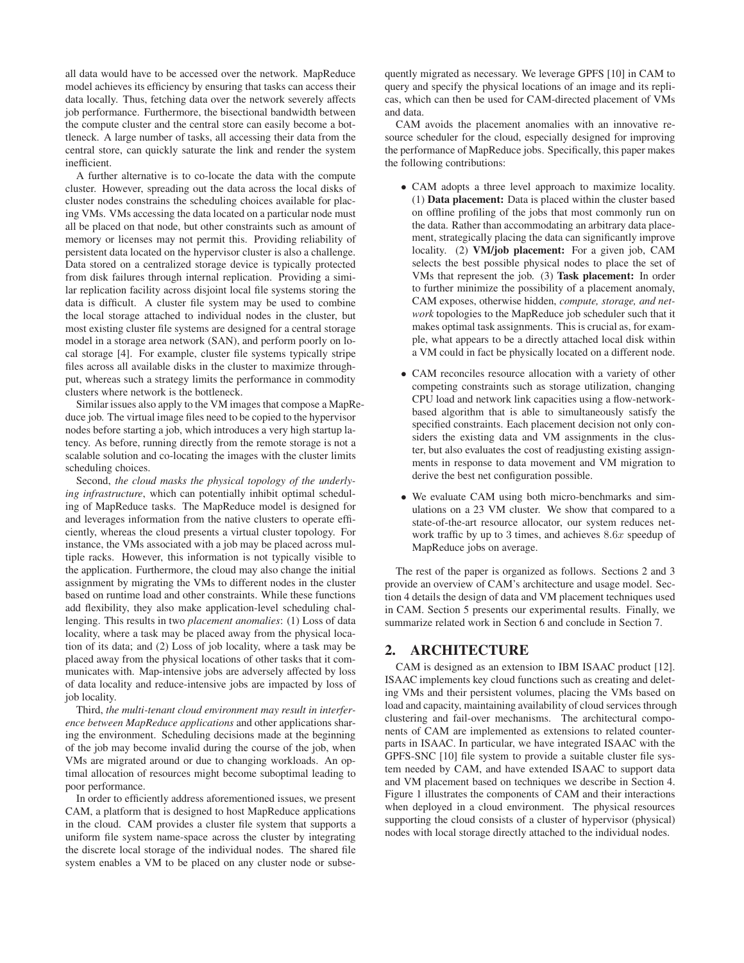all data would have to be accessed over the network. MapReduce model achieves its efficiency by ensuring that tasks can access their data locally. Thus, fetching data over the network severely affects job performance. Furthermore, the bisectional bandwidth between the compute cluster and the central store can easily become a bottleneck. A large number of tasks, all accessing their data from the central store, can quickly saturate the link and render the system inefficient.

A further alternative is to co-locate the data with the compute cluster. However, spreading out the data across the local disks of cluster nodes constrains the scheduling choices available for placing VMs. VMs accessing the data located on a particular node must all be placed on that node, but other constraints such as amount of memory or licenses may not permit this. Providing reliability of persistent data located on the hypervisor cluster is also a challenge. Data stored on a centralized storage device is typically protected from disk failures through internal replication. Providing a similar replication facility across disjoint local file systems storing the data is difficult. A cluster file system may be used to combine the local storage attached to individual nodes in the cluster, but most existing cluster file systems are designed for a central storage model in a storage area network (SAN), and perform poorly on local storage [4]. For example, cluster file systems typically stripe files across all available disks in the cluster to maximize throughput, whereas such a strategy limits the performance in commodity clusters where network is the bottleneck.

Similar issues also apply to the VM images that compose a MapReduce job. The virtual image files need to be copied to the hypervisor nodes before starting a job, which introduces a very high startup latency. As before, running directly from the remote storage is not a scalable solution and co-locating the images with the cluster limits scheduling choices.

Second, *the cloud masks the physical topology of the underlying infrastructure*, which can potentially inhibit optimal scheduling of MapReduce tasks. The MapReduce model is designed for and leverages information from the native clusters to operate efficiently, whereas the cloud presents a virtual cluster topology. For instance, the VMs associated with a job may be placed across multiple racks. However, this information is not typically visible to the application. Furthermore, the cloud may also change the initial assignment by migrating the VMs to different nodes in the cluster based on runtime load and other constraints. While these functions add flexibility, they also make application-level scheduling challenging. This results in two *placement anomalies*: (1) Loss of data locality, where a task may be placed away from the physical location of its data; and (2) Loss of job locality, where a task may be placed away from the physical locations of other tasks that it communicates with. Map-intensive jobs are adversely affected by loss of data locality and reduce-intensive jobs are impacted by loss of job locality.

Third, *the multi-tenant cloud environment may result in interference between MapReduce applications* and other applications sharing the environment. Scheduling decisions made at the beginning of the job may become invalid during the course of the job, when VMs are migrated around or due to changing workloads. An optimal allocation of resources might become suboptimal leading to poor performance.

In order to efficiently address aforementioned issues, we present CAM, a platform that is designed to host MapReduce applications in the cloud. CAM provides a cluster file system that supports a uniform file system name-space across the cluster by integrating the discrete local storage of the individual nodes. The shared file system enables a VM to be placed on any cluster node or subsequently migrated as necessary. We leverage GPFS [10] in CAM to query and specify the physical locations of an image and its replicas, which can then be used for CAM-directed placement of VMs and data.

CAM avoids the placement anomalies with an innovative resource scheduler for the cloud, especially designed for improving the performance of MapReduce jobs. Specifically, this paper makes the following contributions:

- CAM adopts a three level approach to maximize locality. (1) **Data placement:** Data is placed within the cluster based on offline profiling of the jobs that most commonly run on the data. Rather than accommodating an arbitrary data placement, strategically placing the data can significantly improve locality. (2) **VM/job placement:** For a given job, CAM selects the best possible physical nodes to place the set of VMs that represent the job. (3) **Task placement:** In order to further minimize the possibility of a placement anomaly, CAM exposes, otherwise hidden, *compute, storage, and network* topologies to the MapReduce job scheduler such that it makes optimal task assignments. This is crucial as, for example, what appears to be a directly attached local disk within a VM could in fact be physically located on a different node.
- CAM reconciles resource allocation with a variety of other competing constraints such as storage utilization, changing CPU load and network link capacities using a flow-networkbased algorithm that is able to simultaneously satisfy the specified constraints. Each placement decision not only considers the existing data and VM assignments in the cluster, but also evaluates the cost of readjusting existing assignments in response to data movement and VM migration to derive the best net configuration possible.
- We evaluate CAM using both micro-benchmarks and simulations on a 23 VM cluster. We show that compared to a state-of-the-art resource allocator, our system reduces network traffic by up to 3 times, and achieves 8.6x speedup of MapReduce jobs on average.

The rest of the paper is organized as follows. Sections 2 and 3 provide an overview of CAM's architecture and usage model. Section 4 details the design of data and VM placement techniques used in CAM. Section 5 presents our experimental results. Finally, we summarize related work in Section 6 and conclude in Section 7.

## **2. ARCHITECTURE**

CAM is designed as an extension to IBM ISAAC product [12]. ISAAC implements key cloud functions such as creating and deleting VMs and their persistent volumes, placing the VMs based on load and capacity, maintaining availability of cloud services through clustering and fail-over mechanisms. The architectural components of CAM are implemented as extensions to related counterparts in ISAAC. In particular, we have integrated ISAAC with the GPFS-SNC [10] file system to provide a suitable cluster file system needed by CAM, and have extended ISAAC to support data and VM placement based on techniques we describe in Section 4. Figure 1 illustrates the components of CAM and their interactions when deployed in a cloud environment. The physical resources supporting the cloud consists of a cluster of hypervisor (physical) nodes with local storage directly attached to the individual nodes.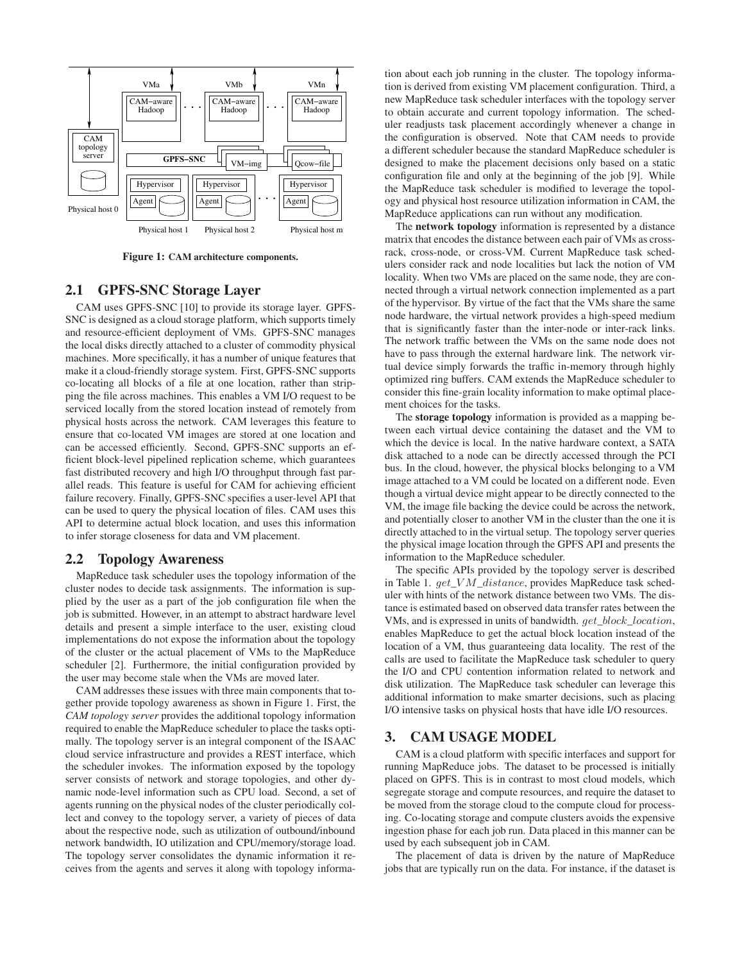

**Figure 1: CAM architecture components.**

## **2.1 GPFS-SNC Storage Layer**

CAM uses GPFS-SNC [10] to provide its storage layer. GPFS-SNC is designed as a cloud storage platform, which supports timely and resource-efficient deployment of VMs. GPFS-SNC manages the local disks directly attached to a cluster of commodity physical machines. More specifically, it has a number of unique features that make it a cloud-friendly storage system. First, GPFS-SNC supports co-locating all blocks of a file at one location, rather than stripping the file across machines. This enables a VM I/O request to be serviced locally from the stored location instead of remotely from physical hosts across the network. CAM leverages this feature to ensure that co-located VM images are stored at one location and can be accessed efficiently. Second, GPFS-SNC supports an efficient block-level pipelined replication scheme, which guarantees fast distributed recovery and high I/O throughput through fast parallel reads. This feature is useful for CAM for achieving efficient failure recovery. Finally, GPFS-SNC specifies a user-level API that can be used to query the physical location of files. CAM uses this API to determine actual block location, and uses this information to infer storage closeness for data and VM placement.

#### **2.2 Topology Awareness**

MapReduce task scheduler uses the topology information of the cluster nodes to decide task assignments. The information is supplied by the user as a part of the job configuration file when the job is submitted. However, in an attempt to abstract hardware level details and present a simple interface to the user, existing cloud implementations do not expose the information about the topology of the cluster or the actual placement of VMs to the MapReduce scheduler [2]. Furthermore, the initial configuration provided by the user may become stale when the VMs are moved later.

CAM addresses these issues with three main components that together provide topology awareness as shown in Figure 1. First, the *CAM topology server* provides the additional topology information required to enable the MapReduce scheduler to place the tasks optimally. The topology server is an integral component of the ISAAC cloud service infrastructure and provides a REST interface, which the scheduler invokes. The information exposed by the topology server consists of network and storage topologies, and other dynamic node-level information such as CPU load. Second, a set of agents running on the physical nodes of the cluster periodically collect and convey to the topology server, a variety of pieces of data about the respective node, such as utilization of outbound/inbound network bandwidth, IO utilization and CPU/memory/storage load. The topology server consolidates the dynamic information it receives from the agents and serves it along with topology information about each job running in the cluster. The topology information is derived from existing VM placement configuration. Third, a new MapReduce task scheduler interfaces with the topology server to obtain accurate and current topology information. The scheduler readjusts task placement accordingly whenever a change in the configuration is observed. Note that CAM needs to provide a different scheduler because the standard MapReduce scheduler is designed to make the placement decisions only based on a static configuration file and only at the beginning of the job [9]. While the MapReduce task scheduler is modified to leverage the topology and physical host resource utilization information in CAM, the MapReduce applications can run without any modification.

The **network topology** information is represented by a distance matrix that encodes the distance between each pair of VMs as crossrack, cross-node, or cross-VM. Current MapReduce task schedulers consider rack and node localities but lack the notion of VM locality. When two VMs are placed on the same node, they are connected through a virtual network connection implemented as a part of the hypervisor. By virtue of the fact that the VMs share the same node hardware, the virtual network provides a high-speed medium that is significantly faster than the inter-node or inter-rack links. The network traffic between the VMs on the same node does not have to pass through the external hardware link. The network virtual device simply forwards the traffic in-memory through highly optimized ring buffers. CAM extends the MapReduce scheduler to consider this fine-grain locality information to make optimal placement choices for the tasks.

The **storage topology** information is provided as a mapping between each virtual device containing the dataset and the VM to which the device is local. In the native hardware context, a SATA disk attached to a node can be directly accessed through the PCI bus. In the cloud, however, the physical blocks belonging to a VM image attached to a VM could be located on a different node. Even though a virtual device might appear to be directly connected to the VM, the image file backing the device could be across the network, and potentially closer to another VM in the cluster than the one it is directly attached to in the virtual setup. The topology server queries the physical image location through the GPFS API and presents the information to the MapReduce scheduler.

The specific APIs provided by the topology server is described in Table 1. get\_V M\_distance, provides MapReduce task scheduler with hints of the network distance between two VMs. The distance is estimated based on observed data transfer rates between the VMs, and is expressed in units of bandwidth. get\_block\_location, enables MapReduce to get the actual block location instead of the location of a VM, thus guaranteeing data locality. The rest of the calls are used to facilitate the MapReduce task scheduler to query the I/O and CPU contention information related to network and disk utilization. The MapReduce task scheduler can leverage this additional information to make smarter decisions, such as placing I/O intensive tasks on physical hosts that have idle I/O resources.

#### **3. CAM USAGE MODEL**

CAM is a cloud platform with specific interfaces and support for running MapReduce jobs. The dataset to be processed is initially placed on GPFS. This is in contrast to most cloud models, which segregate storage and compute resources, and require the dataset to be moved from the storage cloud to the compute cloud for processing. Co-locating storage and compute clusters avoids the expensive ingestion phase for each job run. Data placed in this manner can be used by each subsequent job in CAM.

The placement of data is driven by the nature of MapReduce jobs that are typically run on the data. For instance, if the dataset is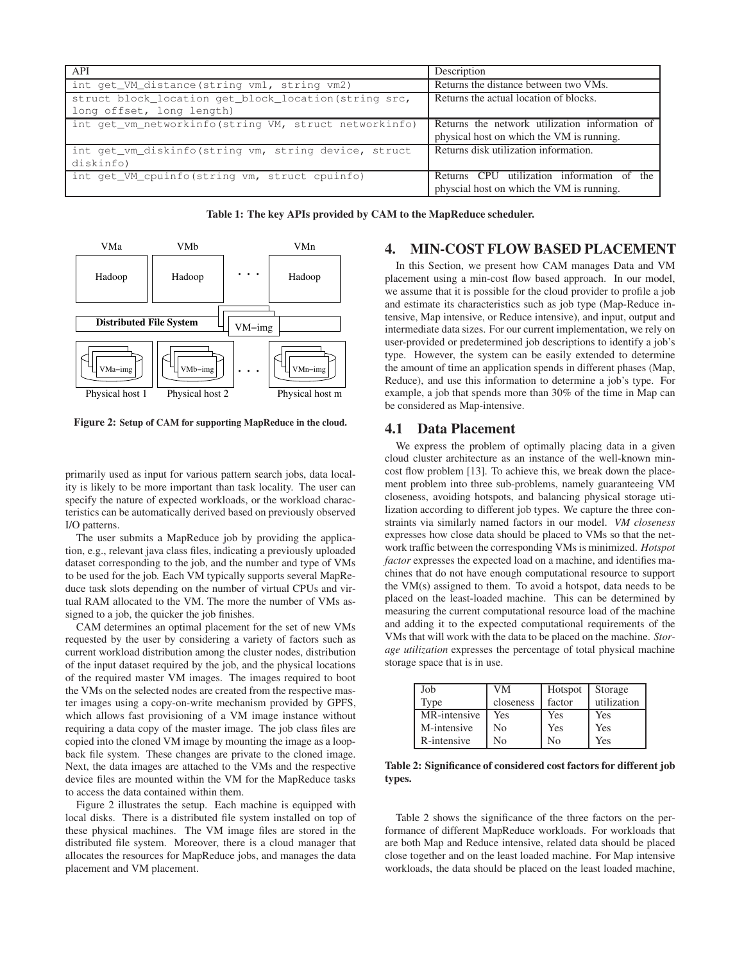| API                                                   | Description                                    |
|-------------------------------------------------------|------------------------------------------------|
| int get_VM_distance(string vm1, string vm2)           | Returns the distance between two VMs.          |
| struct block_location get_block_location(string src,  | Returns the actual location of blocks.         |
| long offset, long length)                             |                                                |
| int get_vm_networkinfo(string VM, struct networkinfo) | Returns the network utilization information of |
|                                                       | physical host on which the VM is running.      |
| int get_vm_diskinfo(string vm, string device, struct  | Returns disk utilization information.          |
| diskinfo)                                             |                                                |
| int get_VM_cpuinfo(string vm, struct cpuinfo)         | Returns CPU utilization information of the     |
|                                                       | physcial host on which the VM is running.      |

**Table 1: The key APIs provided by CAM to the MapReduce scheduler.**



**Figure 2: Setup of CAM for supporting MapReduce in the cloud.**

primarily used as input for various pattern search jobs, data locality is likely to be more important than task locality. The user can specify the nature of expected workloads, or the workload characteristics can be automatically derived based on previously observed I/O patterns.

The user submits a MapReduce job by providing the application, e.g., relevant java class files, indicating a previously uploaded dataset corresponding to the job, and the number and type of VMs to be used for the job. Each VM typically supports several MapReduce task slots depending on the number of virtual CPUs and virtual RAM allocated to the VM. The more the number of VMs assigned to a job, the quicker the job finishes.

CAM determines an optimal placement for the set of new VMs requested by the user by considering a variety of factors such as current workload distribution among the cluster nodes, distribution of the input dataset required by the job, and the physical locations of the required master VM images. The images required to boot the VMs on the selected nodes are created from the respective master images using a copy-on-write mechanism provided by GPFS, which allows fast provisioning of a VM image instance without requiring a data copy of the master image. The job class files are copied into the cloned VM image by mounting the image as a loopback file system. These changes are private to the cloned image. Next, the data images are attached to the VMs and the respective device files are mounted within the VM for the MapReduce tasks to access the data contained within them.

Figure 2 illustrates the setup. Each machine is equipped with local disks. There is a distributed file system installed on top of these physical machines. The VM image files are stored in the distributed file system. Moreover, there is a cloud manager that allocates the resources for MapReduce jobs, and manages the data placement and VM placement.

## **4. MIN-COST FLOW BASED PLACEMENT**

In this Section, we present how CAM manages Data and VM placement using a min-cost flow based approach. In our model, we assume that it is possible for the cloud provider to profile a job and estimate its characteristics such as job type (Map-Reduce intensive, Map intensive, or Reduce intensive), and input, output and intermediate data sizes. For our current implementation, we rely on user-provided or predetermined job descriptions to identify a job's type. However, the system can be easily extended to determine the amount of time an application spends in different phases (Map, Reduce), and use this information to determine a job's type. For example, a job that spends more than 30% of the time in Map can be considered as Map-intensive.

#### **4.1 Data Placement**

We express the problem of optimally placing data in a given cloud cluster architecture as an instance of the well-known mincost flow problem [13]. To achieve this, we break down the placement problem into three sub-problems, namely guaranteeing VM closeness, avoiding hotspots, and balancing physical storage utilization according to different job types. We capture the three constraints via similarly named factors in our model. *VM closeness* expresses how close data should be placed to VMs so that the network traffic between the corresponding VMs is minimized. *Hotspot factor* expresses the expected load on a machine, and identifies machines that do not have enough computational resource to support the VM(s) assigned to them. To avoid a hotspot, data needs to be placed on the least-loaded machine. This can be determined by measuring the current computational resource load of the machine and adding it to the expected computational requirements of the VMs that will work with the data to be placed on the machine. *Storage utilization* expresses the percentage of total physical machine storage space that is in use.

| Job          | VM        | Hotspot | Storage<br>utilization |
|--------------|-----------|---------|------------------------|
| Type         | closeness | factor  |                        |
| MR-intensive | Yes       | Yes     | Yes                    |
| M-intensive  | No        | Yes     | Yes                    |
| R-intensive  | No        | No      | Yes                    |

**Table 2: Significance of considered cost factors for different job types.**

Table 2 shows the significance of the three factors on the performance of different MapReduce workloads. For workloads that are both Map and Reduce intensive, related data should be placed close together and on the least loaded machine. For Map intensive workloads, the data should be placed on the least loaded machine,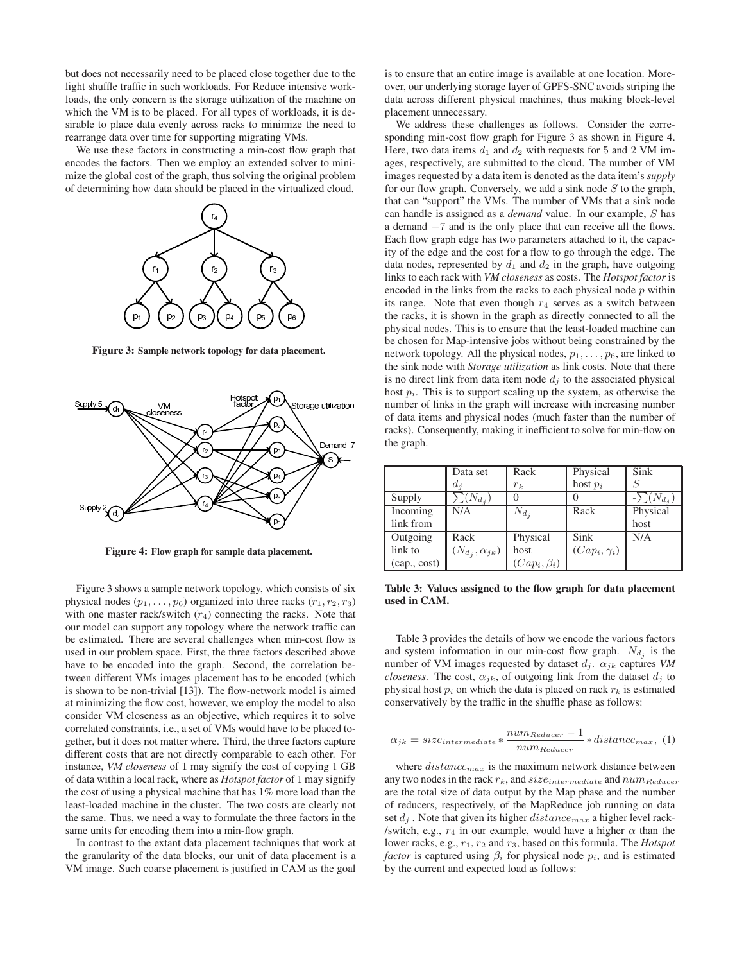but does not necessarily need to be placed close together due to the light shuffle traffic in such workloads. For Reduce intensive workloads, the only concern is the storage utilization of the machine on which the VM is to be placed. For all types of workloads, it is desirable to place data evenly across racks to minimize the need to rearrange data over time for supporting migrating VMs.

We use these factors in constructing a min-cost flow graph that encodes the factors. Then we employ an extended solver to minimize the global cost of the graph, thus solving the original problem of determining how data should be placed in the virtualized cloud.



**Figure 3: Sample network topology for data placement.**



**Figure 4: Flow graph for sample data placement.**

Figure 3 shows a sample network topology, which consists of six physical nodes  $(p_1, \ldots, p_6)$  organized into three racks  $(r_1, r_2, r_3)$ with one master rack/switch  $(r_4)$  connecting the racks. Note that our model can support any topology where the network traffic can be estimated. There are several challenges when min-cost flow is used in our problem space. First, the three factors described above have to be encoded into the graph. Second, the correlation between different VMs images placement has to be encoded (which is shown to be non-trivial [13]). The flow-network model is aimed at minimizing the flow cost, however, we employ the model to also consider VM closeness as an objective, which requires it to solve correlated constraints, i.e., a set of VMs would have to be placed together, but it does not matter where. Third, the three factors capture different costs that are not directly comparable to each other. For instance, *VM closeness* of 1 may signify the cost of copying 1 GB of data within a local rack, where as *Hotspot factor* of 1 may signify the cost of using a physical machine that has 1% more load than the least-loaded machine in the cluster. The two costs are clearly not the same. Thus, we need a way to formulate the three factors in the same units for encoding them into a min-flow graph.

In contrast to the extant data placement techniques that work at the granularity of the data blocks, our unit of data placement is a VM image. Such coarse placement is justified in CAM as the goal is to ensure that an entire image is available at one location. Moreover, our underlying storage layer of GPFS-SNC avoids striping the data across different physical machines, thus making block-level placement unnecessary.

We address these challenges as follows. Consider the corresponding min-cost flow graph for Figure 3 as shown in Figure 4. Here, two data items  $d_1$  and  $d_2$  with requests for 5 and 2 VM images, respectively, are submitted to the cloud. The number of VM images requested by a data item is denoted as the data item's *supply* for our flow graph. Conversely, we add a sink node  $S$  to the graph, that can "support" the VMs. The number of VMs that a sink node can handle is assigned as a *demand* value. In our example, S has a demand −7 and is the only place that can receive all the flows. Each flow graph edge has two parameters attached to it, the capacity of the edge and the cost for a flow to go through the edge. The data nodes, represented by  $d_1$  and  $d_2$  in the graph, have outgoing links to each rack with *VM closeness* as costs. The *Hotspot factor* is encoded in the links from the racks to each physical node  $p$  within its range. Note that even though  $r_4$  serves as a switch between the racks, it is shown in the graph as directly connected to all the physical nodes. This is to ensure that the least-loaded machine can be chosen for Map-intensive jobs without being constrained by the network topology. All the physical nodes,  $p_1, \ldots, p_6$ , are linked to the sink node with *Storage utilization* as link costs. Note that there is no direct link from data item node  $d_i$  to the associated physical host  $p_i$ . This is to support scaling up the system, as otherwise the number of links in the graph will increase with increasing number of data items and physical nodes (much faster than the number of racks). Consequently, making it inefficient to solve for min-flow on the graph.

|              | Data set                 | Rack               | Physical            | Sink        |
|--------------|--------------------------|--------------------|---------------------|-------------|
|              | $d_{ii}$                 | $r_k$              | host $p_i$          |             |
| Supply       | $\cdot N_{d_i}$ .        |                    |                     | $(N_{d_i})$ |
| Incoming     | N/A                      | $N_{d_i}$          | Rack                | Physical    |
| link from    |                          |                    |                     | host        |
| Outgoing     | Rack                     | Physical           | Sink                | N/A         |
| link to      | $(N_{d_j}, \alpha_{jk})$ | host               | $(Cap_i, \gamma_i)$ |             |
| (cap., cost) |                          | $(Cap_i, \beta_i)$ |                     |             |

**Table 3: Values assigned to the flow graph for data placement used in CAM.**

Table 3 provides the details of how we encode the various factors and system information in our min-cost flow graph.  $N_{d_j}$  is the number of VM images requested by dataset  $d_i$ .  $\alpha_{ik}$  captures *VM closeness*. The cost,  $\alpha_{jk}$ , of outgoing link from the dataset  $d_j$  to physical host  $p_i$  on which the data is placed on rack  $r_k$  is estimated conservatively by the traffic in the shuffle phase as follows:

$$
\alpha_{jk} = size_{intermediate} * \frac{num_{Reducer} - 1}{num_{Reducer}} * distance_{max}, (1)
$$

where  $distance_{max}$  is the maximum network distance between any two nodes in the rack  $r_k$ , and  $size_{intermediate}$  and  $num_{Reducer}$ are the total size of data output by the Map phase and the number of reducers, respectively, of the MapReduce job running on data set  $d_i$ . Note that given its higher  $distance_{max}$  a higher level rack-/switch, e.g.,  $r_4$  in our example, would have a higher  $\alpha$  than the lower racks, e.g., r1, r<sup>2</sup> and r3, based on this formula. The *Hotspot factor* is captured using  $\beta_i$  for physical node  $p_i$ , and is estimated by the current and expected load as follows: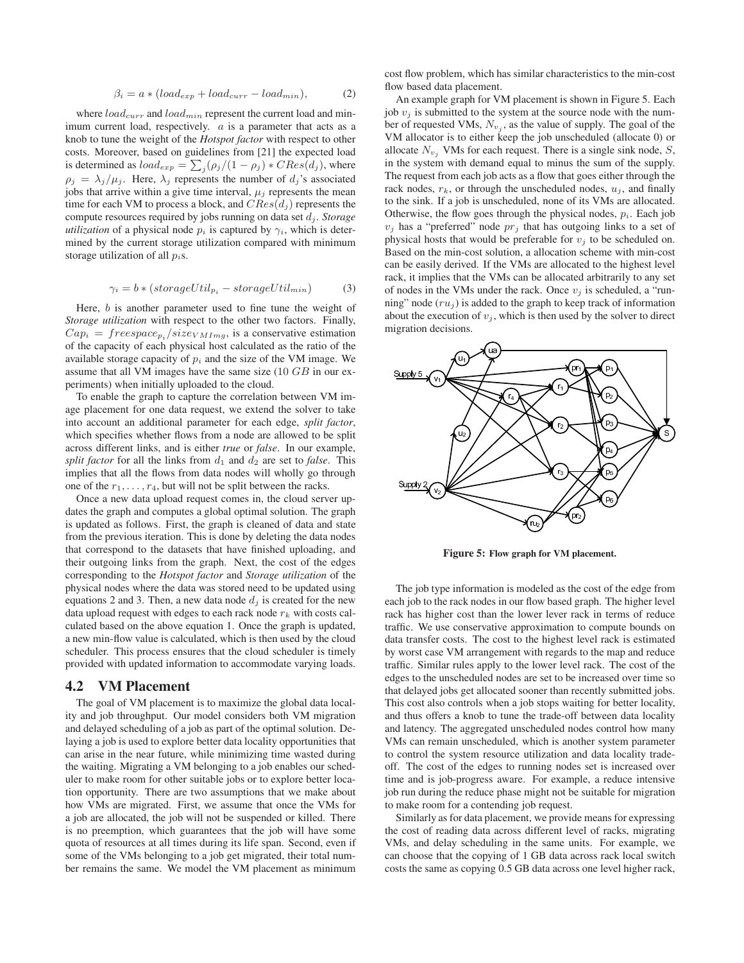$$
\beta_i = a * (load_{exp} + load_{curr} - load_{min}), \tag{2}
$$

where  $load_{curr}$  and  $load_{min}$  represent the current load and minimum current load, respectively.  $a$  is a parameter that acts as a knob to tune the weight of the *Hotspot factor* with respect to other costs. Moreover, based on guidelines from [21] the expected load is determined as  $load_{exp} = \sum_j (\rho_j/(1-\rho_j) * CRes(d_j))$ , where  $\rho_i = \lambda_i / \mu_i$ . Here,  $\lambda_i$  represents the number of  $d_i$ 's associated jobs that arrive within a give time interval,  $\mu_i$  represents the mean time for each VM to process a block, and  $CRes(d_i)$  represents the compute resources required by jobs running on data set  $d_i$ . *Storage utilization* of a physical node  $p_i$  is captured by  $\gamma_i$ , which is determined by the current storage utilization compared with minimum storage utilization of all  $p_i$ s.

$$
\gamma_i = b * (storageUtil_{p_i} - storageUtil_{min})
$$
 (3)

Here, b is another parameter used to fine tune the weight of *Storage utilization* with respect to the other two factors. Finally,  $Cap_i = free space_{p_i}/size_{VMImg}$ , is a conservative estimation of the capacity of each physical host calculated as the ratio of the available storage capacity of  $p_i$  and the size of the VM image. We assume that all VM images have the same size (10 GB in our experiments) when initially uploaded to the cloud.

To enable the graph to capture the correlation between VM image placement for one data request, we extend the solver to take into account an additional parameter for each edge, *split factor*, which specifies whether flows from a node are allowed to be split across different links, and is either *true* or *false*. In our example, *split factor* for all the links from  $d_1$  and  $d_2$  are set to *false*. This implies that all the flows from data nodes will wholly go through one of the  $r_1, \ldots, r_4$ , but will not be split between the racks.

Once a new data upload request comes in, the cloud server updates the graph and computes a global optimal solution. The graph is updated as follows. First, the graph is cleaned of data and state from the previous iteration. This is done by deleting the data nodes that correspond to the datasets that have finished uploading, and their outgoing links from the graph. Next, the cost of the edges corresponding to the *Hotspot factor* and *Storage utilization* of the physical nodes where the data was stored need to be updated using equations 2 and 3. Then, a new data node  $d_i$  is created for the new data upload request with edges to each rack node  $r_k$  with costs calculated based on the above equation 1. Once the graph is updated, a new min-flow value is calculated, which is then used by the cloud scheduler. This process ensures that the cloud scheduler is timely provided with updated information to accommodate varying loads.

#### **4.2 VM Placement**

The goal of VM placement is to maximize the global data locality and job throughput. Our model considers both VM migration and delayed scheduling of a job as part of the optimal solution. Delaying a job is used to explore better data locality opportunities that can arise in the near future, while minimizing time wasted during the waiting. Migrating a VM belonging to a job enables our scheduler to make room for other suitable jobs or to explore better location opportunity. There are two assumptions that we make about how VMs are migrated. First, we assume that once the VMs for a job are allocated, the job will not be suspended or killed. There is no preemption, which guarantees that the job will have some quota of resources at all times during its life span. Second, even if some of the VMs belonging to a job get migrated, their total number remains the same. We model the VM placement as minimum

cost flow problem, which has similar characteristics to the min-cost flow based data placement.

An example graph for VM placement is shown in Figure 5. Each job  $v_i$  is submitted to the system at the source node with the number of requested VMs,  $N_{v_j}$ , as the value of supply. The goal of the VM allocator is to either keep the job unscheduled (allocate 0) or allocate  $N_{v_i}$  VMs for each request. There is a single sink node, S, in the system with demand equal to minus the sum of the supply. The request from each job acts as a flow that goes either through the rack nodes,  $r_k$ , or through the unscheduled nodes,  $u_i$ , and finally to the sink. If a job is unscheduled, none of its VMs are allocated. Otherwise, the flow goes through the physical nodes,  $p_i$ . Each job  $v_j$  has a "preferred" node  $pr_j$  that has outgoing links to a set of physical hosts that would be preferable for  $v_i$  to be scheduled on. Based on the min-cost solution, a allocation scheme with min-cost can be easily derived. If the VMs are allocated to the highest level rack, it implies that the VMs can be allocated arbitrarily to any set of nodes in the VMs under the rack. Once  $v_i$  is scheduled, a "running" node  $(ru_i)$  is added to the graph to keep track of information about the execution of  $v_i$ , which is then used by the solver to direct migration decisions.



**Figure 5: Flow graph for VM placement.**

The job type information is modeled as the cost of the edge from each job to the rack nodes in our flow based graph. The higher level rack has higher cost than the lower lever rack in terms of reduce traffic. We use conservative approximation to compute bounds on data transfer costs. The cost to the highest level rack is estimated by worst case VM arrangement with regards to the map and reduce traffic. Similar rules apply to the lower level rack. The cost of the edges to the unscheduled nodes are set to be increased over time so that delayed jobs get allocated sooner than recently submitted jobs. This cost also controls when a job stops waiting for better locality, and thus offers a knob to tune the trade-off between data locality and latency. The aggregated unscheduled nodes control how many VMs can remain unscheduled, which is another system parameter to control the system resource utilization and data locality tradeoff. The cost of the edges to running nodes set is increased over time and is job-progress aware. For example, a reduce intensive job run during the reduce phase might not be suitable for migration to make room for a contending job request.

Similarly as for data placement, we provide means for expressing the cost of reading data across different level of racks, migrating VMs, and delay scheduling in the same units. For example, we can choose that the copying of 1 GB data across rack local switch costs the same as copying 0.5 GB data across one level higher rack,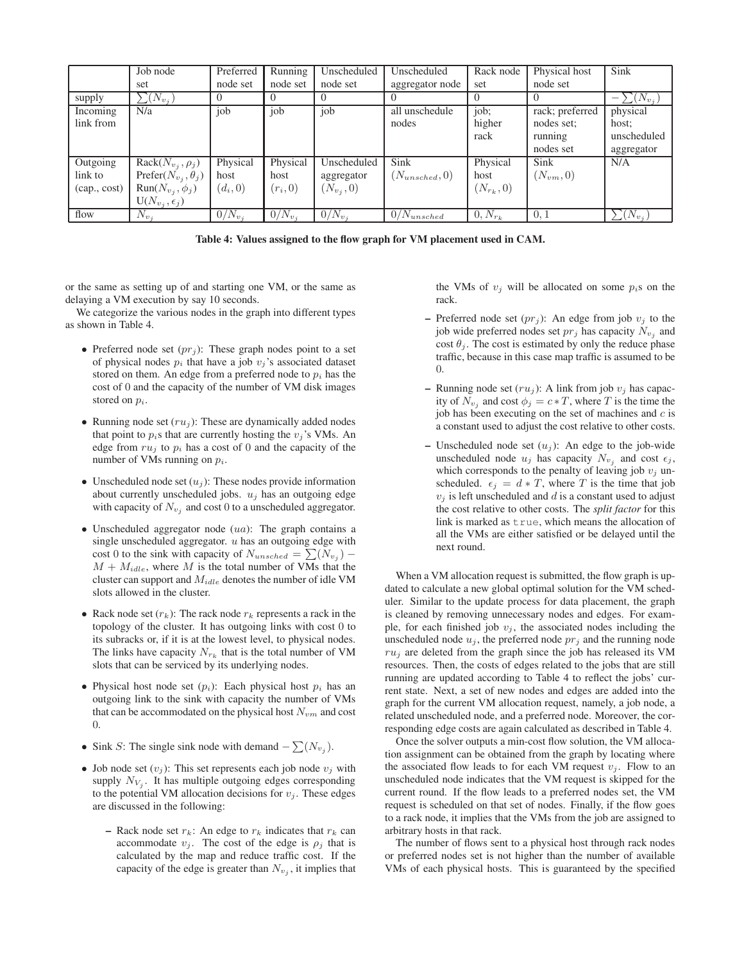|              | Job node                     | Preferred   | Running     | Unscheduled    | Unscheduled                | Rack node      | Physical host   | Sink             |
|--------------|------------------------------|-------------|-------------|----------------|----------------------------|----------------|-----------------|------------------|
|              | set                          | node set    | node set    | node set       | aggregator node            | set            | node set        |                  |
| supply       | $(N_{v_i})$                  |             | $\theta$    | $\theta$       | $\theta$                   |                | $\theta$        | $\sum (N_{v_i})$ |
| Incoming     | N/a                          | job         | job         | job            | all unschedule             | job;           | rack; preferred | physical         |
| link from    |                              |             |             |                | nodes                      | higher         | nodes set:      | host;            |
|              |                              |             |             |                |                            | rack           | running         | unscheduled      |
|              |                              |             |             |                |                            |                | nodes set       | aggregator       |
| Outgoing     | $Back(N_{v_i}, \rho_j)$      | Physical    | Physical    | Unscheduled    | Sink                       | Physical       | Sink            | N/A              |
| link to      | Prefer $(N_{v_i}, \theta_j)$ | host        | host        | aggregator     | $(N_{unsched}, 0)$         | host           | $(N_{vm},0)$    |                  |
| (cap., cost) | $Run(N_{v_i}, \phi_j)$       | $(d_i, 0)$  | $(r_i,0)$   | $(N_{v_i}, 0)$ |                            | $(N_{r_k}, 0)$ |                 |                  |
|              | $U(N_{v_i}, \epsilon_j)$     |             |             |                |                            |                |                 |                  |
| flow         | $N_{v_i}$                    | $0/N_{v_i}$ | $0/N_{v_i}$ | $0/N_{v_i}$    | $\overline{0/N}_{unsched}$ | $0, N_{r_k}$   | 0.1             | $\sum_{i=1}^{n}$ |

**Table 4: Values assigned to the flow graph for VM placement used in CAM.**

or the same as setting up of and starting one VM, or the same as delaying a VM execution by say 10 seconds.

We categorize the various nodes in the graph into different types as shown in Table 4.

- Preferred node set  $(pr_i)$ : These graph nodes point to a set of physical nodes  $p_i$  that have a job  $v_j$ 's associated dataset stored on them. An edge from a preferred node to  $p_i$  has the cost of 0 and the capacity of the number of VM disk images stored on  $p_i$ .
- Running node set  $(ru_j)$ : These are dynamically added nodes that point to  $p_i$ s that are currently hosting the  $v_j$ 's VMs. An edge from  $ru_j$  to  $p_i$  has a cost of 0 and the capacity of the number of VMs running on  $p_i$ .
- Unscheduled node set  $(u_j)$ : These nodes provide information about currently unscheduled jobs.  $u_j$  has an outgoing edge with capacity of  $N_{v_j}$  and cost 0 to a unscheduled aggregator.
- Unscheduled aggregator node (ua): The graph contains a single unscheduled aggregator.  $u$  has an outgoing edge with cost 0 to the sink with capacity of  $N_{unsched} = \sum_{i} (N_{v_i}) M + M_{idle}$ , where M is the total number of VMs that the cluster can support and  $M_{idle}$  denotes the number of idle VM slots allowed in the cluster.
- Rack node set  $(r_k)$ : The rack node  $r_k$  represents a rack in the topology of the cluster. It has outgoing links with cost 0 to its subracks or, if it is at the lowest level, to physical nodes. The links have capacity  $N_{r_k}$  that is the total number of VM slots that can be serviced by its underlying nodes.
- Physical host node set  $(p_i)$ : Each physical host  $p_i$  has an outgoing link to the sink with capacity the number of VMs that can be accommodated on the physical host  $N_{vm}$  and cost 0.
- Sink S: The single sink node with demand  $-\sum (N_{v_j})$ .
- Job node set  $(v_j)$ : This set represents each job node  $v_j$  with supply  $N_{V_j}$ . It has multiple outgoing edges corresponding to the potential VM allocation decisions for  $v_j$ . These edges are discussed in the following:
	- **–** Rack node set  $r_k$ : An edge to  $r_k$  indicates that  $r_k$  can accommodate  $v_j$ . The cost of the edge is  $\rho_j$  that is calculated by the map and reduce traffic cost. If the capacity of the edge is greater than  $N_{v_j}$ , it implies that

the VMs of  $v_j$  will be allocated on some  $p_i$ s on the rack.

- **–** Preferred node set  $(pr_i)$ : An edge from job  $v_i$  to the job wide preferred nodes set  $pr_j$  has capacity  $N_{v_j}$  and cost  $\theta_i$ . The cost is estimated by only the reduce phase traffic, because in this case map traffic is assumed to be  $\Omega$ .
- **–** Running node set  $(ru_j)$ : A link from job  $v_j$  has capacity of  $\overline{N}_{v_j}$  and cost  $\phi_j = c * T$ , where T is the time the job has been executing on the set of machines and  $c$  is a constant used to adjust the cost relative to other costs.
- **–** Unscheduled node set  $(u_i)$ : An edge to the job-wide unscheduled node  $u_j$  has capacity  $N_{v_j}$  and cost  $\epsilon_j$ , which corresponds to the penalty of leaving job  $v_i$  unscheduled.  $\epsilon_j = d * T$ , where T is the time that job  $v_i$  is left unscheduled and d is a constant used to adjust the cost relative to other costs. The *split factor* for this link is marked as true, which means the allocation of all the VMs are either satisfied or be delayed until the next round.

When a VM allocation request is submitted, the flow graph is updated to calculate a new global optimal solution for the VM scheduler. Similar to the update process for data placement, the graph is cleaned by removing unnecessary nodes and edges. For example, for each finished job  $v_j$ , the associated nodes including the unscheduled node  $u_j$ , the preferred node  $pr_j$  and the running node  $ru_j$  are deleted from the graph since the job has released its VM resources. Then, the costs of edges related to the jobs that are still running are updated according to Table 4 to reflect the jobs' current state. Next, a set of new nodes and edges are added into the graph for the current VM allocation request, namely, a job node, a related unscheduled node, and a preferred node. Moreover, the corresponding edge costs are again calculated as described in Table 4.

Once the solver outputs a min-cost flow solution, the VM allocation assignment can be obtained from the graph by locating where the associated flow leads to for each VM request  $v_i$ . Flow to an unscheduled node indicates that the VM request is skipped for the current round. If the flow leads to a preferred nodes set, the VM request is scheduled on that set of nodes. Finally, if the flow goes to a rack node, it implies that the VMs from the job are assigned to arbitrary hosts in that rack.

The number of flows sent to a physical host through rack nodes or preferred nodes set is not higher than the number of available VMs of each physical hosts. This is guaranteed by the specified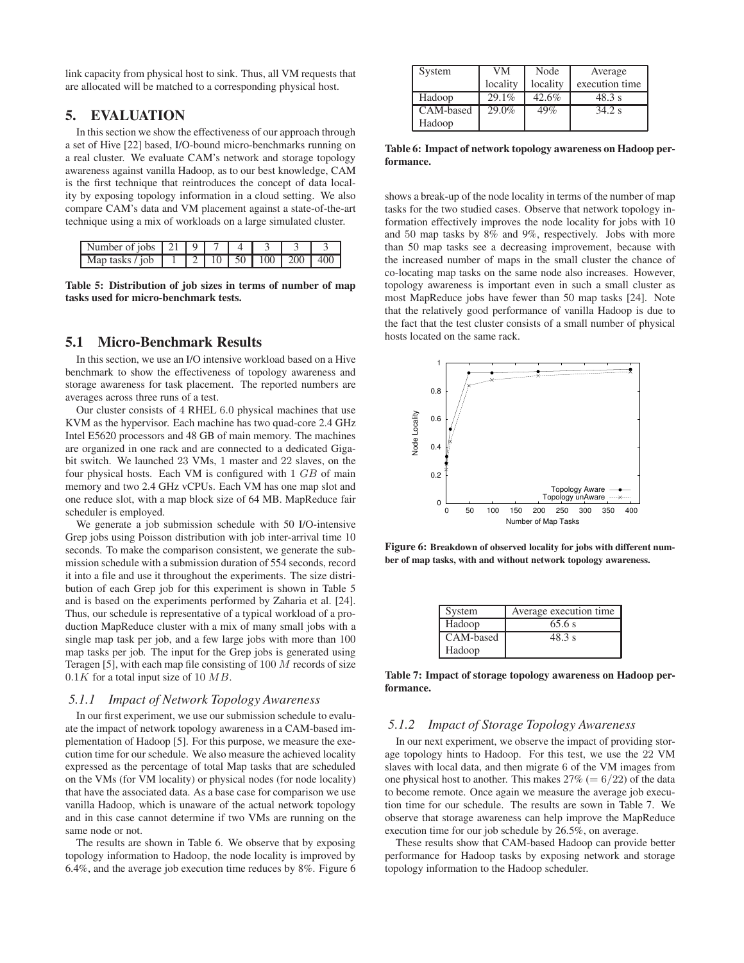link capacity from physical host to sink. Thus, all VM requests that are allocated will be matched to a corresponding physical host.

#### **5. EVALUATION**

In this section we show the effectiveness of our approach through a set of Hive [22] based, I/O-bound micro-benchmarks running on a real cluster. We evaluate CAM's network and storage topology awareness against vanilla Hadoop, as to our best knowledge, CAM is the first technique that reintroduces the concept of data locality by exposing topology information in a cloud setting. We also compare CAM's data and VM placement against a state-of-the-art technique using a mix of workloads on a large simulated cluster.

| Number of jobs $\boxed{21}$ $\boxed{9}$ . |  |  |                     |  |
|-------------------------------------------|--|--|---------------------|--|
| Map tasks / job                           |  |  | 10   50   100   200 |  |

**Table 5: Distribution of job sizes in terms of number of map tasks used for micro-benchmark tests.**

## **5.1 Micro-Benchmark Results**

In this section, we use an I/O intensive workload based on a Hive benchmark to show the effectiveness of topology awareness and storage awareness for task placement. The reported numbers are averages across three runs of a test.

Our cluster consists of 4 RHEL 6.0 physical machines that use KVM as the hypervisor. Each machine has two quad-core 2.4 GHz Intel E5620 processors and 48 GB of main memory. The machines are organized in one rack and are connected to a dedicated Gigabit switch. We launched 23 VMs, 1 master and 22 slaves, on the four physical hosts. Each VM is configured with 1 GB of main memory and two 2.4 GHz vCPUs. Each VM has one map slot and one reduce slot, with a map block size of 64 MB. MapReduce fair scheduler is employed.

We generate a job submission schedule with 50 I/O-intensive Grep jobs using Poisson distribution with job inter-arrival time 10 seconds. To make the comparison consistent, we generate the submission schedule with a submission duration of 554 seconds, record it into a file and use it throughout the experiments. The size distribution of each Grep job for this experiment is shown in Table 5 and is based on the experiments performed by Zaharia et al. [24]. Thus, our schedule is representative of a typical workload of a production MapReduce cluster with a mix of many small jobs with a single map task per job, and a few large jobs with more than 100 map tasks per job. The input for the Grep jobs is generated using Teragen [5], with each map file consisting of 100 M records of size  $0.1K$  for a total input size of 10  $MB$ .

#### *5.1.1 Impact of Network Topology Awareness*

In our first experiment, we use our submission schedule to evaluate the impact of network topology awareness in a CAM-based implementation of Hadoop [5]. For this purpose, we measure the execution time for our schedule. We also measure the achieved locality expressed as the percentage of total Map tasks that are scheduled on the VMs (for VM locality) or physical nodes (for node locality) that have the associated data. As a base case for comparison we use vanilla Hadoop, which is unaware of the actual network topology and in this case cannot determine if two VMs are running on the same node or not.

The results are shown in Table 6. We observe that by exposing topology information to Hadoop, the node locality is improved by 6.4%, and the average job execution time reduces by 8%. Figure 6

| System              | VM       | Node     | Average        |
|---------------------|----------|----------|----------------|
|                     | locality | locality | execution time |
| Hadoop              | 29.1%    | 42.6%    | 48.3 s         |
| CAM-based<br>Hadoop | 29.0%    | 49%      | 34.2 s         |

**Table 6: Impact of network topology awareness on Hadoop performance.**

shows a break-up of the node locality in terms of the number of map tasks for the two studied cases. Observe that network topology information effectively improves the node locality for jobs with 10 and 50 map tasks by 8% and 9%, respectively. Jobs with more than 50 map tasks see a decreasing improvement, because with the increased number of maps in the small cluster the chance of co-locating map tasks on the same node also increases. However, topology awareness is important even in such a small cluster as most MapReduce jobs have fewer than 50 map tasks [24]. Note that the relatively good performance of vanilla Hadoop is due to the fact that the test cluster consists of a small number of physical hosts located on the same rack.



**Figure 6: Breakdown of observed locality for jobs with different number of map tasks, with and without network topology awareness.**

| System    | Average execution time |
|-----------|------------------------|
| Hadoop    | 65.6 s                 |
| CAM-based | 48.3 s                 |
| Hadoop    |                        |

**Table 7: Impact of storage topology awareness on Hadoop performance.**

#### *5.1.2 Impact of Storage Topology Awareness*

In our next experiment, we observe the impact of providing storage topology hints to Hadoop. For this test, we use the 22 VM slaves with local data, and then migrate 6 of the VM images from one physical host to another. This makes  $27\% (= 6/22)$  of the data to become remote. Once again we measure the average job execution time for our schedule. The results are sown in Table 7. We observe that storage awareness can help improve the MapReduce execution time for our job schedule by 26.5%, on average.

These results show that CAM-based Hadoop can provide better performance for Hadoop tasks by exposing network and storage topology information to the Hadoop scheduler.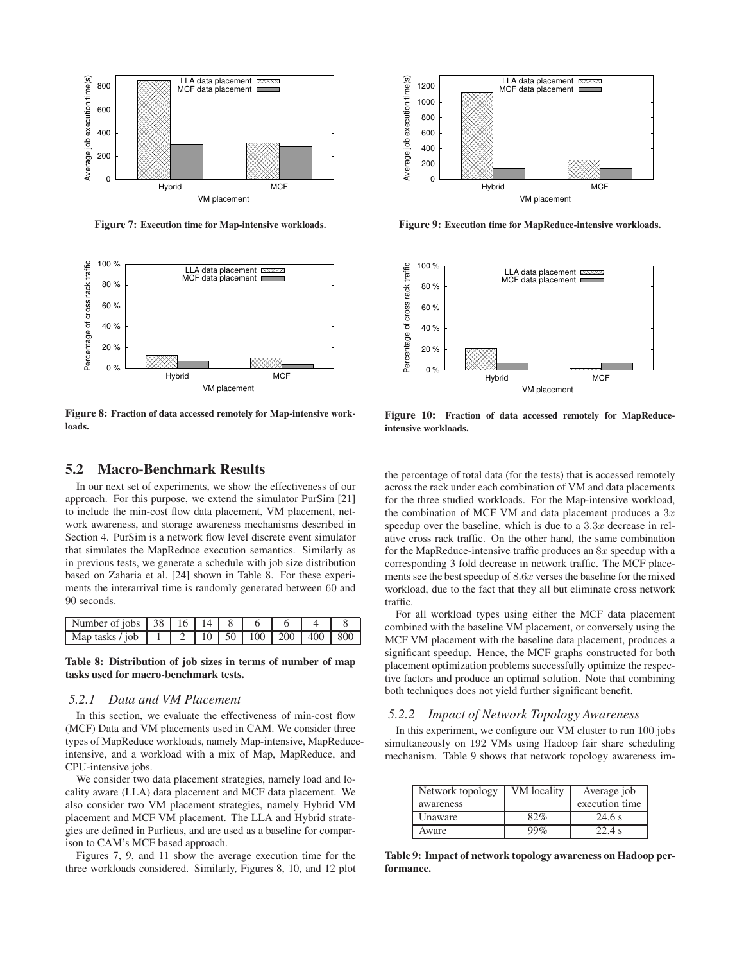

**Figure 7: Execution time for Map-intensive workloads.**



**Figure 8: Fraction of data accessed remotely for Map-intensive workloads.**

## **5.2 Macro-Benchmark Results**

In our next set of experiments, we show the effectiveness of our approach. For this purpose, we extend the simulator PurSim [21] to include the min-cost flow data placement, VM placement, network awareness, and storage awareness mechanisms described in Section 4. PurSim is a network flow level discrete event simulator that simulates the MapReduce execution semantics. Similarly as in previous tests, we generate a schedule with job size distribution based on Zaharia et al. [24] shown in Table 8. For these experiments the interarrival time is randomly generated between 60 and 90 seconds.

| Number of jobs   38   16   14   8 |  |  |                                            |  |  |
|-----------------------------------|--|--|--------------------------------------------|--|--|
| Map tasks / job $\parallel$       |  |  | $\mid$ 2   10   50   100   200   400   800 |  |  |

**Table 8: Distribution of job sizes in terms of number of map tasks used for macro-benchmark tests.**

#### *5.2.1 Data and VM Placement*

In this section, we evaluate the effectiveness of min-cost flow (MCF) Data and VM placements used in CAM. We consider three types of MapReduce workloads, namely Map-intensive, MapReduceintensive, and a workload with a mix of Map, MapReduce, and CPU-intensive jobs.

We consider two data placement strategies, namely load and locality aware (LLA) data placement and MCF data placement. We also consider two VM placement strategies, namely Hybrid VM placement and MCF VM placement. The LLA and Hybrid strategies are defined in Purlieus, and are used as a baseline for comparison to CAM's MCF based approach.

Figures 7, 9, and 11 show the average execution time for the three workloads considered. Similarly, Figures 8, 10, and 12 plot



**Figure 9: Execution time for MapReduce-intensive workloads.**



**Figure 10: Fraction of data accessed remotely for MapReduceintensive workloads.**

the percentage of total data (for the tests) that is accessed remotely across the rack under each combination of VM and data placements for the three studied workloads. For the Map-intensive workload, the combination of MCF VM and data placement produces a  $3x$ speedup over the baseline, which is due to a  $3.3x$  decrease in relative cross rack traffic. On the other hand, the same combination for the MapReduce-intensive traffic produces an  $8x$  speedup with a corresponding 3 fold decrease in network traffic. The MCF placements see the best speedup of  $8.6x$  verses the baseline for the mixed workload, due to the fact that they all but eliminate cross network traffic.

For all workload types using either the MCF data placement combined with the baseline VM placement, or conversely using the MCF VM placement with the baseline data placement, produces a significant speedup. Hence, the MCF graphs constructed for both placement optimization problems successfully optimize the respective factors and produce an optimal solution. Note that combining both techniques does not yield further significant benefit.

#### *5.2.2 Impact of Network Topology Awareness*

In this experiment, we configure our VM cluster to run 100 jobs simultaneously on 192 VMs using Hadoop fair share scheduling mechanism. Table 9 shows that network topology awareness im-

| Network topology | VM locality | Average job    |
|------------------|-------------|----------------|
| awareness        |             | execution time |
| Unaware          | 82%         | 24.6 s         |
| Aware            | 99%         | 22 4 s         |

**Table 9: Impact of network topology awareness on Hadoop performance.**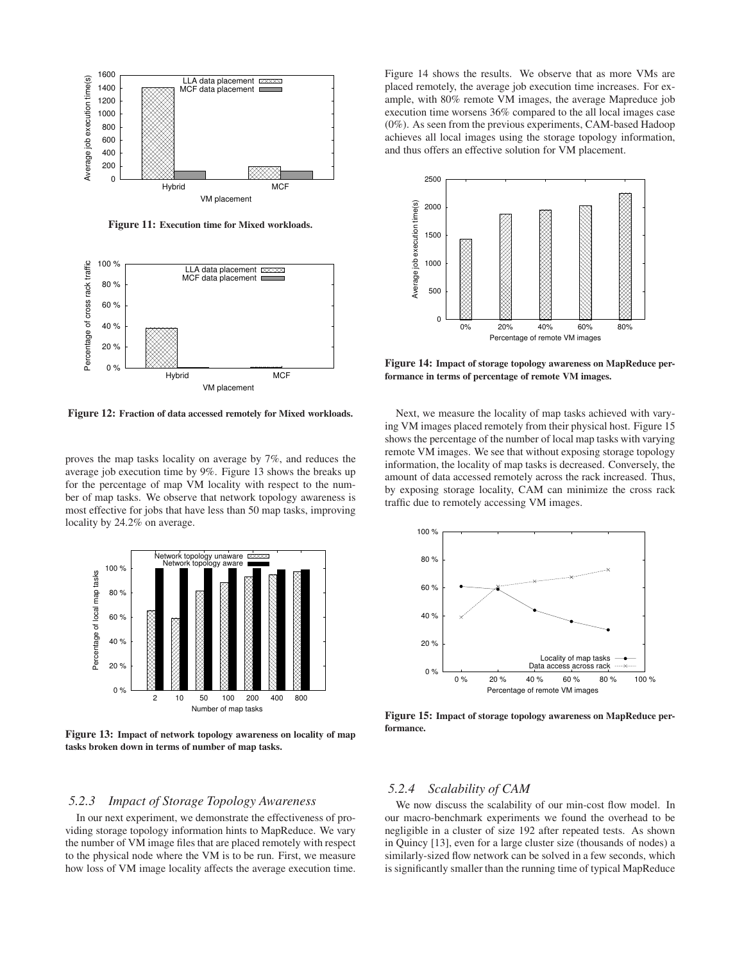

**Figure 11: Execution time for Mixed workloads.**



**Figure 12: Fraction of data accessed remotely for Mixed workloads.**

proves the map tasks locality on average by 7%, and reduces the average job execution time by 9%. Figure 13 shows the breaks up for the percentage of map VM locality with respect to the number of map tasks. We observe that network topology awareness is most effective for jobs that have less than 50 map tasks, improving locality by 24.2% on average.



**Figure 13: Impact of network topology awareness on locality of map tasks broken down in terms of number of map tasks.**

#### *5.2.3 Impact of Storage Topology Awareness*

In our next experiment, we demonstrate the effectiveness of providing storage topology information hints to MapReduce. We vary the number of VM image files that are placed remotely with respect to the physical node where the VM is to be run. First, we measure how loss of VM image locality affects the average execution time.

Figure 14 shows the results. We observe that as more VMs are placed remotely, the average job execution time increases. For example, with 80% remote VM images, the average Mapreduce job execution time worsens 36% compared to the all local images case (0%). As seen from the previous experiments, CAM-based Hadoop achieves all local images using the storage topology information, and thus offers an effective solution for VM placement.



**Figure 14: Impact of storage topology awareness on MapReduce performance in terms of percentage of remote VM images.**

Next, we measure the locality of map tasks achieved with varying VM images placed remotely from their physical host. Figure 15 shows the percentage of the number of local map tasks with varying remote VM images. We see that without exposing storage topology information, the locality of map tasks is decreased. Conversely, the amount of data accessed remotely across the rack increased. Thus, by exposing storage locality, CAM can minimize the cross rack traffic due to remotely accessing VM images.



**Figure 15: Impact of storage topology awareness on MapReduce performance.**

#### *5.2.4 Scalability of CAM*

We now discuss the scalability of our min-cost flow model. In our macro-benchmark experiments we found the overhead to be negligible in a cluster of size 192 after repeated tests. As shown in Quincy [13], even for a large cluster size (thousands of nodes) a similarly-sized flow network can be solved in a few seconds, which is significantly smaller than the running time of typical MapReduce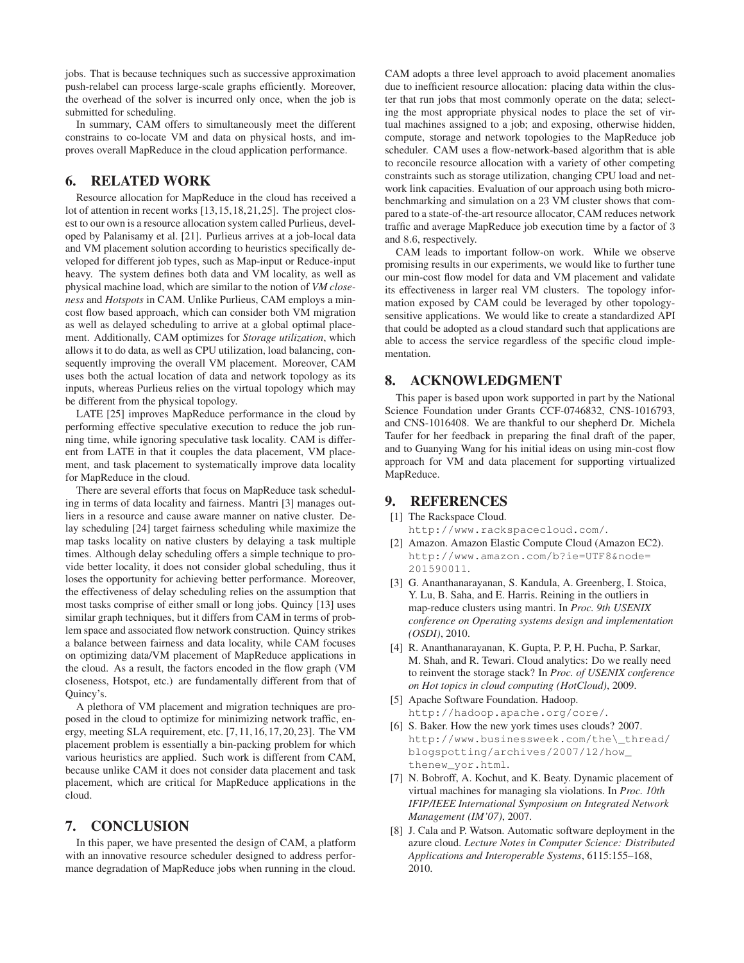jobs. That is because techniques such as successive approximation push-relabel can process large-scale graphs efficiently. Moreover, the overhead of the solver is incurred only once, when the job is submitted for scheduling.

In summary, CAM offers to simultaneously meet the different constrains to co-locate VM and data on physical hosts, and improves overall MapReduce in the cloud application performance.

## **6. RELATED WORK**

Resource allocation for MapReduce in the cloud has received a lot of attention in recent works [13,15,18,21,25]. The project closest to our own is a resource allocation system called Purlieus, developed by Palanisamy et al. [21]. Purlieus arrives at a job-local data and VM placement solution according to heuristics specifically developed for different job types, such as Map-input or Reduce-input heavy. The system defines both data and VM locality, as well as physical machine load, which are similar to the notion of *VM closeness* and *Hotspots* in CAM. Unlike Purlieus, CAM employs a mincost flow based approach, which can consider both VM migration as well as delayed scheduling to arrive at a global optimal placement. Additionally, CAM optimizes for *Storage utilization*, which allows it to do data, as well as CPU utilization, load balancing, consequently improving the overall VM placement. Moreover, CAM uses both the actual location of data and network topology as its inputs, whereas Purlieus relies on the virtual topology which may be different from the physical topology.

LATE [25] improves MapReduce performance in the cloud by performing effective speculative execution to reduce the job running time, while ignoring speculative task locality. CAM is different from LATE in that it couples the data placement, VM placement, and task placement to systematically improve data locality for MapReduce in the cloud.

There are several efforts that focus on MapReduce task scheduling in terms of data locality and fairness. Mantri [3] manages outliers in a resource and cause aware manner on native cluster. Delay scheduling [24] target fairness scheduling while maximize the map tasks locality on native clusters by delaying a task multiple times. Although delay scheduling offers a simple technique to provide better locality, it does not consider global scheduling, thus it loses the opportunity for achieving better performance. Moreover, the effectiveness of delay scheduling relies on the assumption that most tasks comprise of either small or long jobs. Quincy [13] uses similar graph techniques, but it differs from CAM in terms of problem space and associated flow network construction. Quincy strikes a balance between fairness and data locality, while CAM focuses on optimizing data/VM placement of MapReduce applications in the cloud. As a result, the factors encoded in the flow graph (VM closeness, Hotspot, etc.) are fundamentally different from that of Quincy's.

A plethora of VM placement and migration techniques are proposed in the cloud to optimize for minimizing network traffic, energy, meeting SLA requirement, etc. [7, 11, 16, 17, 20, 23]. The VM placement problem is essentially a bin-packing problem for which various heuristics are applied. Such work is different from CAM, because unlike CAM it does not consider data placement and task placement, which are critical for MapReduce applications in the cloud.

## **7. CONCLUSION**

In this paper, we have presented the design of CAM, a platform with an innovative resource scheduler designed to address performance degradation of MapReduce jobs when running in the cloud.

CAM adopts a three level approach to avoid placement anomalies due to inefficient resource allocation: placing data within the cluster that run jobs that most commonly operate on the data; selecting the most appropriate physical nodes to place the set of virtual machines assigned to a job; and exposing, otherwise hidden, compute, storage and network topologies to the MapReduce job scheduler. CAM uses a flow-network-based algorithm that is able to reconcile resource allocation with a variety of other competing constraints such as storage utilization, changing CPU load and network link capacities. Evaluation of our approach using both microbenchmarking and simulation on a 23 VM cluster shows that compared to a state-of-the-art resource allocator, CAM reduces network traffic and average MapReduce job execution time by a factor of 3 and 8.6, respectively.

CAM leads to important follow-on work. While we observe promising results in our experiments, we would like to further tune our min-cost flow model for data and VM placement and validate its effectiveness in larger real VM clusters. The topology information exposed by CAM could be leveraged by other topologysensitive applications. We would like to create a standardized API that could be adopted as a cloud standard such that applications are able to access the service regardless of the specific cloud implementation.

## **8. ACKNOWLEDGMENT**

This paper is based upon work supported in part by the National Science Foundation under Grants CCF-0746832, CNS-1016793, and CNS-1016408. We are thankful to our shepherd Dr. Michela Taufer for her feedback in preparing the final draft of the paper, and to Guanying Wang for his initial ideas on using min-cost flow approach for VM and data placement for supporting virtualized MapReduce.

### **9. REFERENCES**

- [1] The Rackspace Cloud. http://www.rackspacecloud.com/.
- [2] Amazon. Amazon Elastic Compute Cloud (Amazon EC2). http://www.amazon.com/b?ie=UTF8&node= 201590011.
- [3] G. Ananthanarayanan, S. Kandula, A. Greenberg, I. Stoica, Y. Lu, B. Saha, and E. Harris. Reining in the outliers in map-reduce clusters using mantri. In *Proc. 9th USENIX conference on Operating systems design and implementation (OSDI)*, 2010.
- [4] R. Ananthanarayanan, K. Gupta, P. P, H. Pucha, P. Sarkar, M. Shah, and R. Tewari. Cloud analytics: Do we really need to reinvent the storage stack? In *Proc. of USENIX conference on Hot topics in cloud computing (HotCloud)*, 2009.
- [5] Apache Software Foundation. Hadoop. http://hadoop.apache.org/core/.
- [6] S. Baker. How the new york times uses clouds? 2007. http://www.businessweek.com/the\\_thread/ blogspotting/archives/2007/12/how\_ thenew\_yor.html.
- [7] N. Bobroff, A. Kochut, and K. Beaty. Dynamic placement of virtual machines for managing sla violations. In *Proc. 10th IFIP/IEEE International Symposium on Integrated Network Management (IM'07)*, 2007.
- [8] J. Cala and P. Watson. Automatic software deployment in the azure cloud. *Lecture Notes in Computer Science: Distributed Applications and Interoperable Systems*, 6115:155–168, 2010.